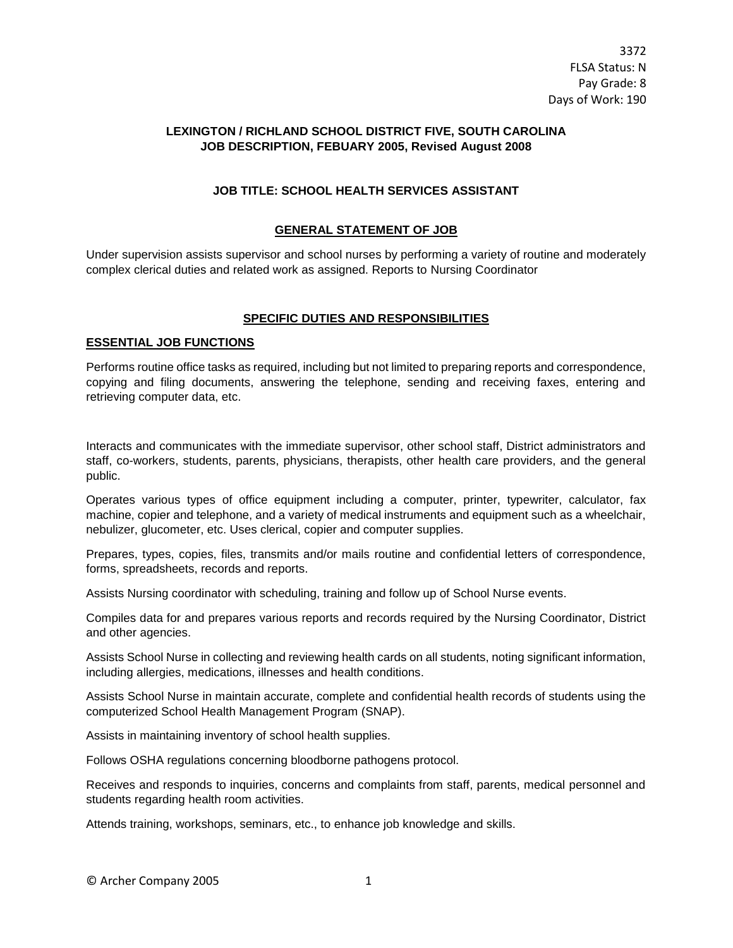# **LEXINGTON / RICHLAND SCHOOL DISTRICT FIVE, SOUTH CAROLINA JOB DESCRIPTION, FEBUARY 2005, Revised August 2008**

# **JOB TITLE: SCHOOL HEALTH SERVICES ASSISTANT**

## **GENERAL STATEMENT OF JOB**

Under supervision assists supervisor and school nurses by performing a variety of routine and moderately complex clerical duties and related work as assigned. Reports to Nursing Coordinator

#### **SPECIFIC DUTIES AND RESPONSIBILITIES**

### **ESSENTIAL JOB FUNCTIONS**

Performs routine office tasks as required, including but not limited to preparing reports and correspondence, copying and filing documents, answering the telephone, sending and receiving faxes, entering and retrieving computer data, etc.

Interacts and communicates with the immediate supervisor, other school staff, District administrators and staff, co-workers, students, parents, physicians, therapists, other health care providers, and the general public.

Operates various types of office equipment including a computer, printer, typewriter, calculator, fax machine, copier and telephone, and a variety of medical instruments and equipment such as a wheelchair, nebulizer, glucometer, etc. Uses clerical, copier and computer supplies.

Prepares, types, copies, files, transmits and/or mails routine and confidential letters of correspondence, forms, spreadsheets, records and reports.

Assists Nursing coordinator with scheduling, training and follow up of School Nurse events.

Compiles data for and prepares various reports and records required by the Nursing Coordinator, District and other agencies.

Assists School Nurse in collecting and reviewing health cards on all students, noting significant information, including allergies, medications, illnesses and health conditions.

Assists School Nurse in maintain accurate, complete and confidential health records of students using the computerized School Health Management Program (SNAP).

Assists in maintaining inventory of school health supplies.

Follows OSHA regulations concerning bloodborne pathogens protocol.

Receives and responds to inquiries, concerns and complaints from staff, parents, medical personnel and students regarding health room activities.

Attends training, workshops, seminars, etc., to enhance job knowledge and skills.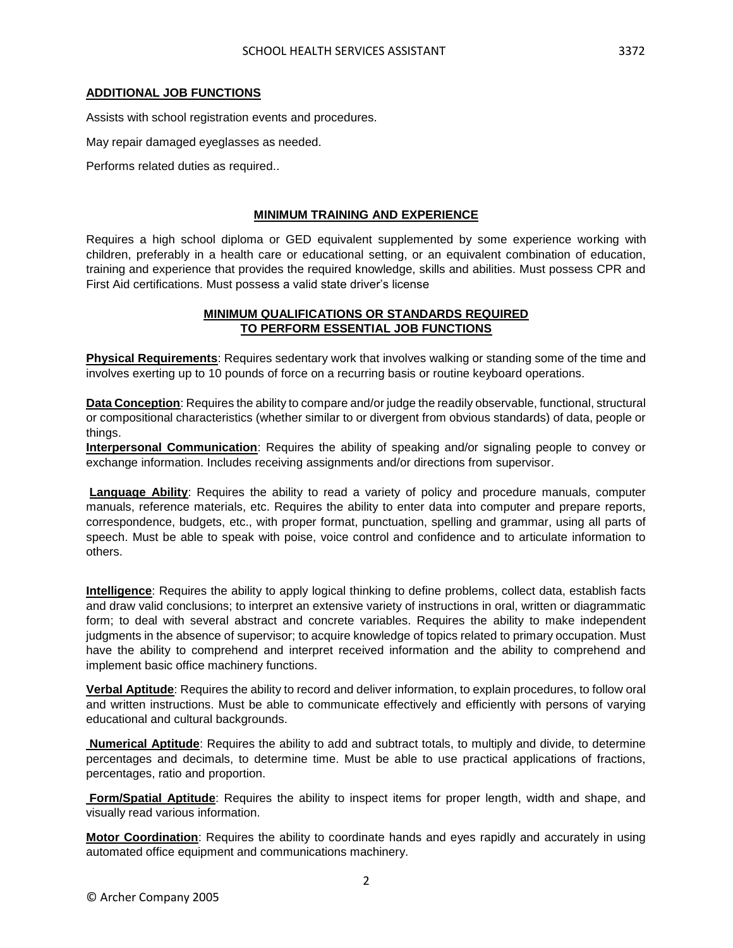### **ADDITIONAL JOB FUNCTIONS**

Assists with school registration events and procedures.

May repair damaged eyeglasses as needed.

Performs related duties as required..

#### **MINIMUM TRAINING AND EXPERIENCE**

Requires a high school diploma or GED equivalent supplemented by some experience working with children, preferably in a health care or educational setting, or an equivalent combination of education, training and experience that provides the required knowledge, skills and abilities. Must possess CPR and First Aid certifications. Must possess a valid state driver's license

## **MINIMUM QUALIFICATIONS OR STANDARDS REQUIRED TO PERFORM ESSENTIAL JOB FUNCTIONS**

**Physical Requirements**: Requires sedentary work that involves walking or standing some of the time and involves exerting up to 10 pounds of force on a recurring basis or routine keyboard operations.

**Data Conception**: Requires the ability to compare and/or judge the readily observable, functional, structural or compositional characteristics (whether similar to or divergent from obvious standards) of data, people or things.

**Interpersonal Communication**: Requires the ability of speaking and/or signaling people to convey or exchange information. Includes receiving assignments and/or directions from supervisor.

**Language Ability**: Requires the ability to read a variety of policy and procedure manuals, computer manuals, reference materials, etc. Requires the ability to enter data into computer and prepare reports, correspondence, budgets, etc., with proper format, punctuation, spelling and grammar, using all parts of speech. Must be able to speak with poise, voice control and confidence and to articulate information to others.

**Intelligence**: Requires the ability to apply logical thinking to define problems, collect data, establish facts and draw valid conclusions; to interpret an extensive variety of instructions in oral, written or diagrammatic form; to deal with several abstract and concrete variables. Requires the ability to make independent judgments in the absence of supervisor; to acquire knowledge of topics related to primary occupation. Must have the ability to comprehend and interpret received information and the ability to comprehend and implement basic office machinery functions.

**Verbal Aptitude**: Requires the ability to record and deliver information, to explain procedures, to follow oral and written instructions. Must be able to communicate effectively and efficiently with persons of varying educational and cultural backgrounds.

**Numerical Aptitude**: Requires the ability to add and subtract totals, to multiply and divide, to determine percentages and decimals, to determine time. Must be able to use practical applications of fractions, percentages, ratio and proportion.

**Form/Spatial Aptitude**: Requires the ability to inspect items for proper length, width and shape, and visually read various information.

**Motor Coordination**: Requires the ability to coordinate hands and eyes rapidly and accurately in using automated office equipment and communications machinery.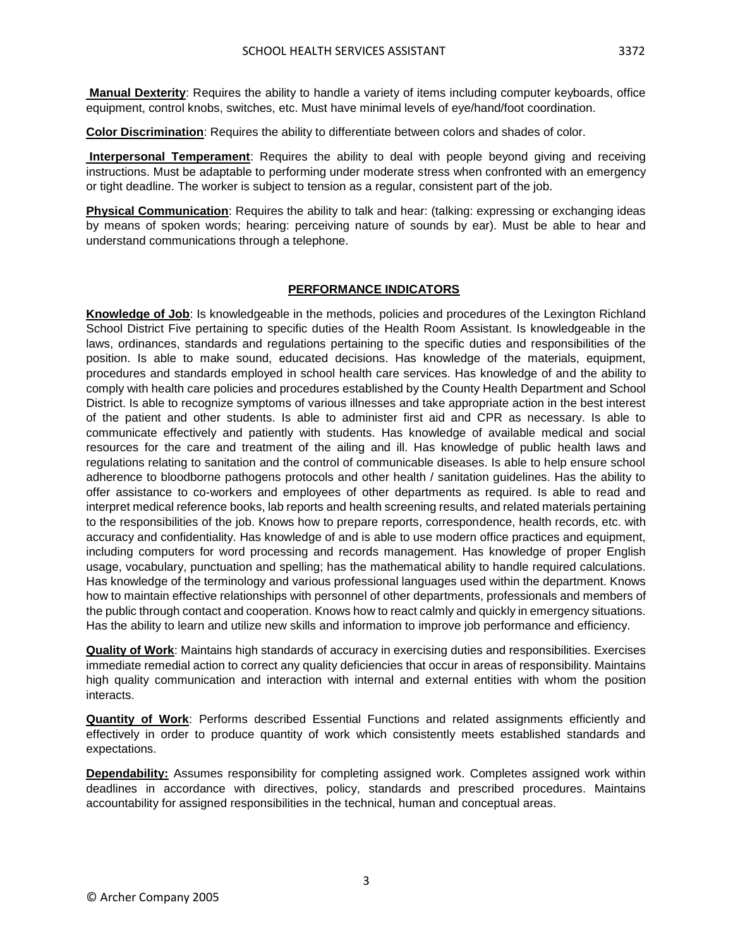**Manual Dexterity**: Requires the ability to handle a variety of items including computer keyboards, office equipment, control knobs, switches, etc. Must have minimal levels of eye/hand/foot coordination.

**Color Discrimination**: Requires the ability to differentiate between colors and shades of color.

**Interpersonal Temperament**: Requires the ability to deal with people beyond giving and receiving instructions. Must be adaptable to performing under moderate stress when confronted with an emergency or tight deadline. The worker is subject to tension as a regular, consistent part of the job.

**Physical Communication**: Requires the ability to talk and hear: (talking: expressing or exchanging ideas by means of spoken words; hearing: perceiving nature of sounds by ear). Must be able to hear and understand communications through a telephone.

# **PERFORMANCE INDICATORS**

**Knowledge of Job**: Is knowledgeable in the methods, policies and procedures of the Lexington Richland School District Five pertaining to specific duties of the Health Room Assistant. Is knowledgeable in the laws, ordinances, standards and regulations pertaining to the specific duties and responsibilities of the position. Is able to make sound, educated decisions. Has knowledge of the materials, equipment, procedures and standards employed in school health care services. Has knowledge of and the ability to comply with health care policies and procedures established by the County Health Department and School District. Is able to recognize symptoms of various illnesses and take appropriate action in the best interest of the patient and other students. Is able to administer first aid and CPR as necessary. Is able to communicate effectively and patiently with students. Has knowledge of available medical and social resources for the care and treatment of the ailing and ill. Has knowledge of public health laws and regulations relating to sanitation and the control of communicable diseases. Is able to help ensure school adherence to bloodborne pathogens protocols and other health / sanitation guidelines. Has the ability to offer assistance to co-workers and employees of other departments as required. Is able to read and interpret medical reference books, lab reports and health screening results, and related materials pertaining to the responsibilities of the job. Knows how to prepare reports, correspondence, health records, etc. with accuracy and confidentiality. Has knowledge of and is able to use modern office practices and equipment, including computers for word processing and records management. Has knowledge of proper English usage, vocabulary, punctuation and spelling; has the mathematical ability to handle required calculations. Has knowledge of the terminology and various professional languages used within the department. Knows how to maintain effective relationships with personnel of other departments, professionals and members of the public through contact and cooperation. Knows how to react calmly and quickly in emergency situations. Has the ability to learn and utilize new skills and information to improve job performance and efficiency.

**Quality of Work**: Maintains high standards of accuracy in exercising duties and responsibilities. Exercises immediate remedial action to correct any quality deficiencies that occur in areas of responsibility. Maintains high quality communication and interaction with internal and external entities with whom the position interacts.

**Quantity of Work**: Performs described Essential Functions and related assignments efficiently and effectively in order to produce quantity of work which consistently meets established standards and expectations.

**Dependability:** Assumes responsibility for completing assigned work. Completes assigned work within deadlines in accordance with directives, policy, standards and prescribed procedures. Maintains accountability for assigned responsibilities in the technical, human and conceptual areas.